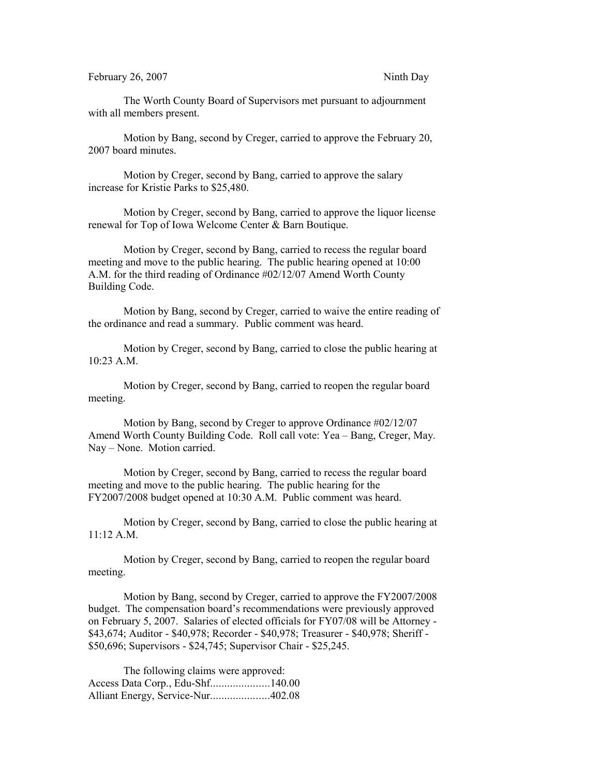The Worth County Board of Supervisors met pursuant to adjournment with all members present.

Motion by Bang, second by Creger, carried to approve the February 20, 2007 board minutes.

Motion by Creger, second by Bang, carried to approve the salary increase for Kristie Parks to \$25,480.

Motion by Creger, second by Bang, carried to approve the liquor license renewal for Top of Iowa Welcome Center & Barn Boutique.

Motion by Creger, second by Bang, carried to recess the regular board meeting and move to the public hearing. The public hearing opened at 10:00 A.M. for the third reading of Ordinance #02/12/07 Amend Worth County Building Code.

Motion by Bang, second by Creger, carried to waive the entire reading of the ordinance and read a summary. Public comment was heard.

Motion by Creger, second by Bang, carried to close the public hearing at 10:23 A.M.

Motion by Creger, second by Bang, carried to reopen the regular board meeting.

Motion by Bang, second by Creger to approve Ordinance #02/12/07 Amend Worth County Building Code. Roll call vote: Yea – Bang, Creger, May. Nay – None. Motion carried.

Motion by Creger, second by Bang, carried to recess the regular board meeting and move to the public hearing. The public hearing for the FY2007/2008 budget opened at 10:30 A.M. Public comment was heard.

Motion by Creger, second by Bang, carried to close the public hearing at 11:12 A.M.

Motion by Creger, second by Bang, carried to reopen the regular board meeting.

Motion by Bang, second by Creger, carried to approve the FY2007/2008 budget. The compensation board's recommendations were previously approved on February 5, 2007. Salaries of elected officials for FY07/08 will be Attorney - \$43,674; Auditor - \$40,978; Recorder - \$40,978; Treasurer - \$40,978; Sheriff - \$50,696; Supervisors - \$24,745; Supervisor Chair - \$25,245.

The following claims were approved: Access Data Corp., Edu-Shf.....................140.00 Alliant Energy, Service-Nur.....................402.08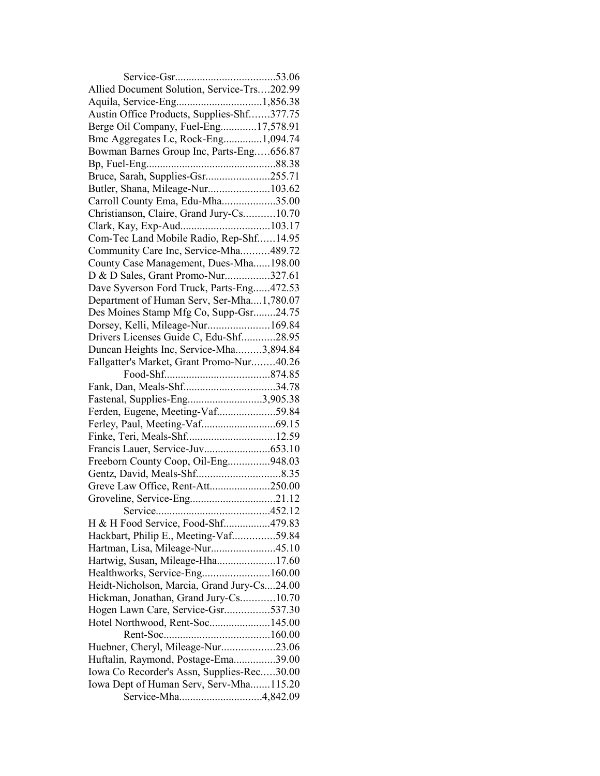| Allied Document Solution, Service-Trs202.99 |  |
|---------------------------------------------|--|
|                                             |  |
| Austin Office Products, Supplies-Shf377.75  |  |
| Berge Oil Company, Fuel-Eng17,578.91        |  |
| Bmc Aggregates Lc, Rock-Eng1,094.74         |  |
| Bowman Barnes Group Inc, Parts-Eng656.87    |  |
|                                             |  |
| Bruce, Sarah, Supplies-Gsr255.71            |  |
| Butler, Shana, Mileage-Nur103.62            |  |
| Carroll County Ema, Edu-Mha35.00            |  |
| Christianson, Claire, Grand Jury-Cs10.70    |  |
|                                             |  |
| Com-Tec Land Mobile Radio, Rep-Shf14.95     |  |
| Community Care Inc, Service-Mha489.72       |  |
| County Case Management, Dues-Mha198.00      |  |
| D & D Sales, Grant Promo-Nur327.61          |  |
| Dave Syverson Ford Truck, Parts-Eng472.53   |  |
| Department of Human Serv, Ser-Mha1,780.07   |  |
| Des Moines Stamp Mfg Co, Supp-Gsr24.75      |  |
| Dorsey, Kelli, Mileage-Nur169.84            |  |
| Drivers Licenses Guide C, Edu-Shf28.95      |  |
| Duncan Heights Inc, Service-Mha3,894.84     |  |
| Fallgatter's Market, Grant Promo-Nur40.26   |  |
|                                             |  |
| Fank, Dan, Meals-Shf34.78                   |  |
| Fastenal, Supplies-Eng3,905.38              |  |
| Ferden, Eugene, Meeting-Vaf59.84            |  |
|                                             |  |
|                                             |  |
|                                             |  |
| Freeborn County Coop, Oil-Eng948.03         |  |
|                                             |  |
| Greve Law Office, Rent-Att250.00            |  |
| Groveline, Service-Eng21.12                 |  |
|                                             |  |
| H & H Food Service, Food-Shf479.83          |  |
| Hackbart, Philip E., Meeting-Vaf59.84       |  |
| Hartman, Lisa, Mileage-Nur45.10             |  |
| Hartwig, Susan, Mileage-Hha17.60            |  |
|                                             |  |
| Heidt-Nicholson, Marcia, Grand Jury-Cs24.00 |  |
| Hickman, Jonathan, Grand Jury-Cs10.70       |  |
| Hogen Lawn Care, Service-Gsr537.30          |  |
| Hotel Northwood, Rent-Soc145.00             |  |
|                                             |  |
| Huebner, Cheryl, Mileage-Nur23.06           |  |
| Huftalin, Raymond, Postage-Ema39.00         |  |
| Iowa Co Recorder's Assn, Supplies-Rec30.00  |  |
| Iowa Dept of Human Serv, Serv-Mha115.20     |  |
|                                             |  |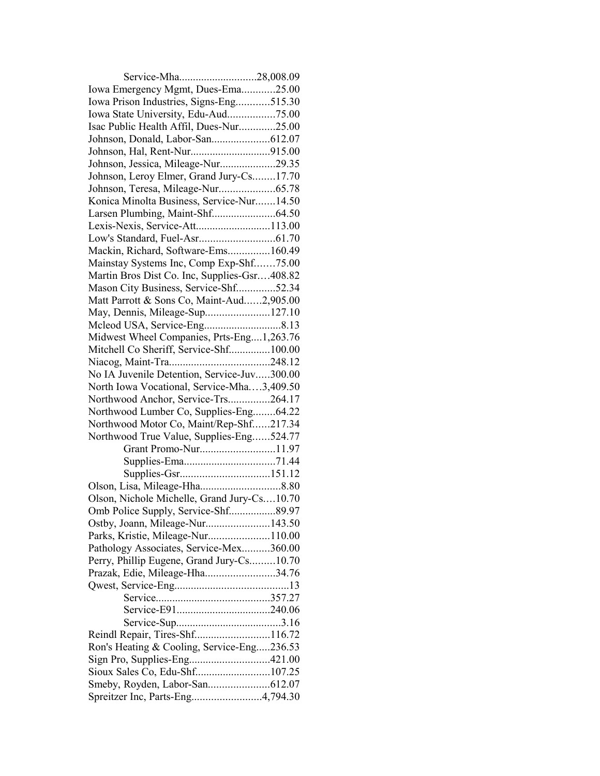| Service-Mha28,008.09                         |  |
|----------------------------------------------|--|
| Iowa Emergency Mgmt, Dues-Ema25.00           |  |
| Iowa Prison Industries, Signs-Eng515.30      |  |
| Iowa State University, Edu-Aud75.00          |  |
| Isac Public Health Affil, Dues-Nur25.00      |  |
|                                              |  |
|                                              |  |
| Johnson, Jessica, Mileage-Nur29.35           |  |
| Johnson, Leroy Elmer, Grand Jury-Cs17.70     |  |
| Johnson, Teresa, Mileage-Nur65.78            |  |
| Konica Minolta Business, Service-Nur14.50    |  |
|                                              |  |
| Lexis-Nexis, Service-Att113.00               |  |
|                                              |  |
| Mackin, Richard, Software-Ems160.49          |  |
| Mainstay Systems Inc, Comp Exp-Shf75.00      |  |
| Martin Bros Dist Co. Inc, Supplies-Gsr408.82 |  |
| Mason City Business, Service-Shf52.34        |  |
| Matt Parrott & Sons Co, Maint-Aud2,905.00    |  |
| May, Dennis, Mileage-Sup127.10               |  |
|                                              |  |
| Midwest Wheel Companies, Prts-Eng1,263.76    |  |
| Mitchell Co Sheriff, Service-Shf100.00       |  |
|                                              |  |
| No IA Juvenile Detention, Service-Juv300.00  |  |
| North Iowa Vocational, Service-Mha3,409.50   |  |
| Northwood Anchor, Service-Trs264.17          |  |
| Northwood Lumber Co, Supplies-Eng64.22       |  |
| Northwood Motor Co, Maint/Rep-Shf217.34      |  |
| Northwood True Value, Supplies-Eng524.77     |  |
| Grant Promo-Nur11.97                         |  |
|                                              |  |
|                                              |  |
|                                              |  |
| Olson, Nichole Michelle, Grand Jury-Cs10.70  |  |
|                                              |  |
| Omb Police Supply, Service-Shf89.97          |  |
| Ostby, Joann, Mileage-Nur143.50              |  |
| Parks, Kristie, Mileage-Nur110.00            |  |
| Pathology Associates, Service-Mex360.00      |  |
| Perry, Phillip Eugene, Grand Jury-Cs10.70    |  |
| Prazak, Edie, Mileage-Hha34.76               |  |
|                                              |  |
|                                              |  |
|                                              |  |
|                                              |  |
| Reindl Repair, Tires-Shf116.72               |  |
| Ron's Heating & Cooling, Service-Eng236.53   |  |
| Sign Pro, Supplies-Eng421.00                 |  |
| Sioux Sales Co, Edu-Shf107.25                |  |
|                                              |  |
| Spreitzer Inc, Parts-Eng4,794.30             |  |